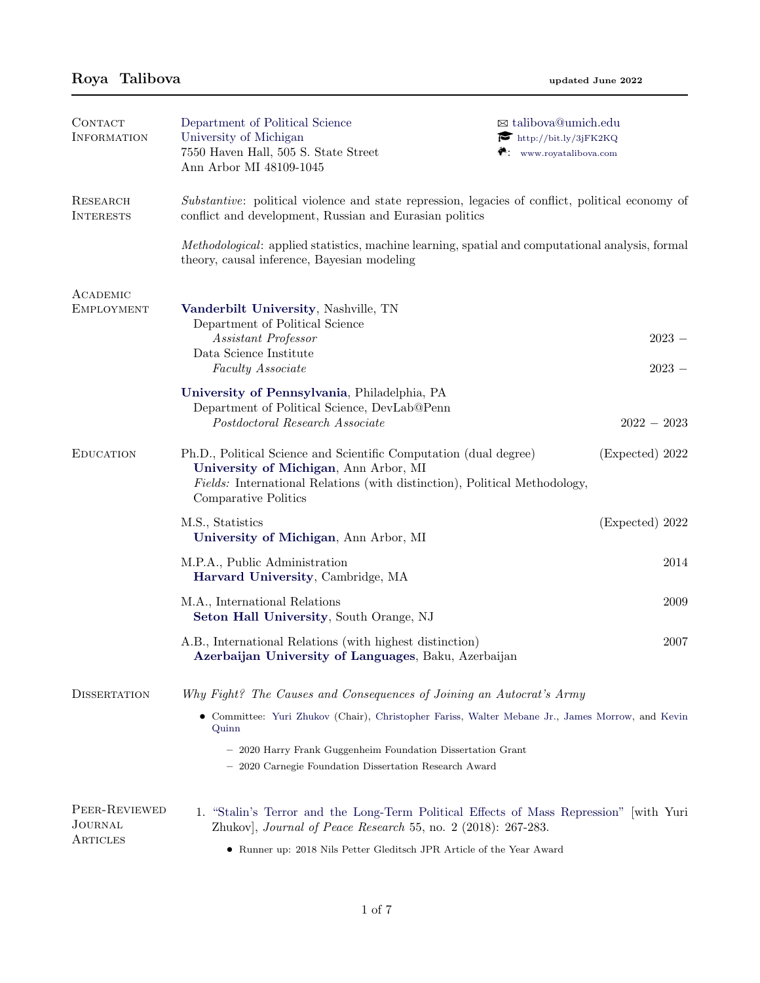| CONTACT<br><b>INFORMATION</b>        | Department of Political Science<br>University of Michigan<br>7550 Haven Hall, 505 S. State Street<br>Ann Arbor MI 48109-1045                                                                                                    | ⊠ talibova@umich.edu<br>$\blacktriangleright$ http://bit.ly/3jFK2KQ<br>$\bullet$ : www.royatalibova.com |  |  |
|--------------------------------------|---------------------------------------------------------------------------------------------------------------------------------------------------------------------------------------------------------------------------------|---------------------------------------------------------------------------------------------------------|--|--|
| RESEARCH<br><b>INTERESTS</b>         | Substantive: political violence and state repression, legacies of conflict, political economy of<br>conflict and development, Russian and Eurasian politics                                                                     |                                                                                                         |  |  |
|                                      | Methodological: applied statistics, machine learning, spatial and computational analysis, formal<br>theory, causal inference, Bayesian modeling                                                                                 |                                                                                                         |  |  |
| ACADEMIC                             |                                                                                                                                                                                                                                 |                                                                                                         |  |  |
| <b>EMPLOYMENT</b>                    | Vanderbilt University, Nashville, TN<br>Department of Political Science<br>Assistant Professor<br>Data Science Institute<br>Faculty Associate                                                                                   | $2023 -$<br>$2023 -$                                                                                    |  |  |
|                                      | University of Pennsylvania, Philadelphia, PA<br>Department of Political Science, DevLab@Penn                                                                                                                                    |                                                                                                         |  |  |
|                                      | Postdoctoral Research Associate                                                                                                                                                                                                 | $2022 - 2023$                                                                                           |  |  |
| <b>EDUCATION</b>                     | Ph.D., Political Science and Scientific Computation (dual degree)<br>University of Michigan, Ann Arbor, MI<br>Fields: International Relations (with distinction), Political Methodology,<br>Comparative Politics                | (Expected) 2022                                                                                         |  |  |
|                                      | M.S., Statistics<br>University of Michigan, Ann Arbor, MI                                                                                                                                                                       | (Expected) 2022                                                                                         |  |  |
|                                      | M.P.A., Public Administration<br>Harvard University, Cambridge, MA                                                                                                                                                              | 2014                                                                                                    |  |  |
|                                      | M.A., International Relations<br>Seton Hall University, South Orange, NJ                                                                                                                                                        | 2009                                                                                                    |  |  |
|                                      | A.B., International Relations (with highest distinction)<br>Azerbaijan University of Languages, Baku, Azerbaijan                                                                                                                | 2007                                                                                                    |  |  |
| <b>DISSERTATION</b>                  | Why Fight? The Causes and Consequences of Joining an Autocrat's Army                                                                                                                                                            |                                                                                                         |  |  |
|                                      | • Committee: Yuri Zhukov (Chair), Christopher Fariss, Walter Mebane Jr., James Morrow, and Kevin<br>Quinn                                                                                                                       |                                                                                                         |  |  |
|                                      | - 2020 Harry Frank Guggenheim Foundation Dissertation Grant<br>- 2020 Carnegie Foundation Dissertation Research Award                                                                                                           |                                                                                                         |  |  |
| PEER-REVIEWED<br>JOURNAL<br>ARTICLES | 1. "Stalin's Terror and the Long-Term Political Effects of Mass Repression" with Yuri<br>Zhukov], Journal of Peace Research 55, no. 2 (2018): 267-283.<br>• Runner up: 2018 Nils Petter Gleditsch JPR Article of the Year Award |                                                                                                         |  |  |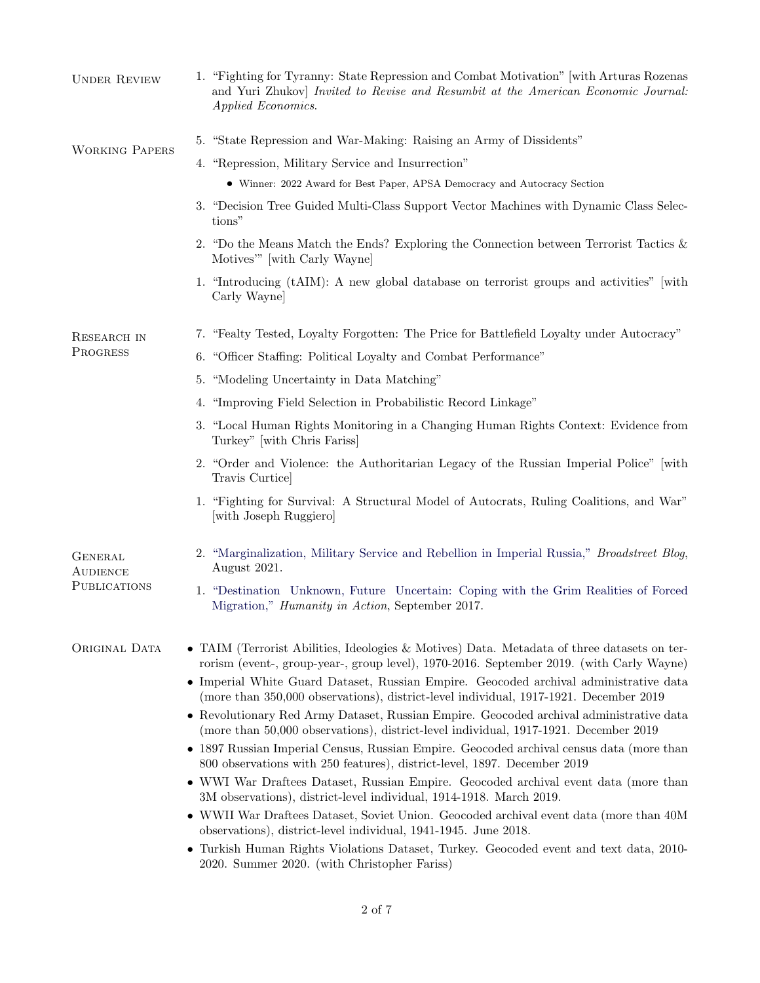| <b>UNDER REVIEW</b>                               | 1. "Fighting for Tyranny: State Repression and Combat Motivation" with Arturas Rozenas<br>and Yuri Zhukov] Invited to Revise and Resumbit at the American Economic Journal:<br>Applied Economics.                                                                                |
|---------------------------------------------------|----------------------------------------------------------------------------------------------------------------------------------------------------------------------------------------------------------------------------------------------------------------------------------|
| <b>WORKING PAPERS</b>                             | 5. "State Repression and War-Making: Raising an Army of Dissidents"                                                                                                                                                                                                              |
|                                                   | 4. "Repression, Military Service and Insurrection"                                                                                                                                                                                                                               |
|                                                   | • Winner: 2022 Award for Best Paper, APSA Democracy and Autocracy Section                                                                                                                                                                                                        |
|                                                   | 3. "Decision Tree Guided Multi-Class Support Vector Machines with Dynamic Class Selec-<br>tions"                                                                                                                                                                                 |
|                                                   | 2. "Do the Means Match the Ends? Exploring the Connection between Terrorist Tactics $\&$<br>Motives" [with Carly Wayne]                                                                                                                                                          |
|                                                   | 1. "Introducing (tAIM): A new global database on terrorist groups and activities" with<br>Carly Wayne                                                                                                                                                                            |
| RESEARCH IN                                       | 7. "Fealty Tested, Loyalty Forgotten: The Price for Battlefield Loyalty under Autocracy"                                                                                                                                                                                         |
| PROGRESS                                          | 6. "Officer Staffing: Political Loyalty and Combat Performance"                                                                                                                                                                                                                  |
|                                                   | 5. "Modeling Uncertainty in Data Matching"                                                                                                                                                                                                                                       |
|                                                   | "Improving Field Selection in Probabilistic Record Linkage"<br>4.                                                                                                                                                                                                                |
|                                                   | 3. "Local Human Rights Monitoring in a Changing Human Rights Context: Evidence from<br>Turkey" [with Chris Fariss]                                                                                                                                                               |
|                                                   | 2. "Order and Violence: the Authoritarian Legacy of the Russian Imperial Police" with<br>Travis Curtice                                                                                                                                                                          |
|                                                   | 1. "Fighting for Survival: A Structural Model of Autocrats, Ruling Coalitions, and War"<br>[with Joseph Ruggiero]                                                                                                                                                                |
| <b>GENERAL</b><br><b>AUDIENCE</b><br>PUBLICATIONS | 2. "Marginalization, Military Service and Rebellion in Imperial Russia," <i>Broadstreet Blog</i> ,<br>August 2021.                                                                                                                                                               |
|                                                   | 1. "Destination Unknown, Future Uncertain: Coping with the Grim Realities of Forced<br>Migration," <i>Humanity in Action</i> , September 2017.                                                                                                                                   |
| ORIGINAL DATA                                     | • TAIM (Terrorist Abilities, Ideologies & Motives) Data. Metadata of three datasets on ter-<br>rorism (event-, group-year-, group level), 1970-2016. September 2019. (with Carly Wayne)<br>• Imperial White Guard Dataset, Russian Empire. Geocoded archival administrative data |
|                                                   | (more than 350,000 observations), district-level individual, 1917-1921. December 2019<br>• Revolutionary Red Army Dataset, Russian Empire. Geocoded archival administrative data                                                                                                 |
|                                                   | (more than 50,000 observations), district-level individual, 1917-1921. December 2019<br>• 1897 Russian Imperial Census, Russian Empire. Geocoded archival census data (more than                                                                                                 |
|                                                   | 800 observations with 250 features), district-level, 1897. December 2019<br>• WWI War Draftees Dataset, Russian Empire. Geocoded archival event data (more than                                                                                                                  |
|                                                   | 3M observations), district-level individual, 1914-1918. March 2019.<br>• WWII War Draftees Dataset, Soviet Union. Geocoded archival event data (more than 40M)                                                                                                                   |
|                                                   | observations), district-level individual, 1941-1945. June 2018.<br>• Turkish Human Rights Violations Dataset, Turkey. Geocoded event and text data, 2010-<br>2020. Summer 2020. (with Christopher Fariss)                                                                        |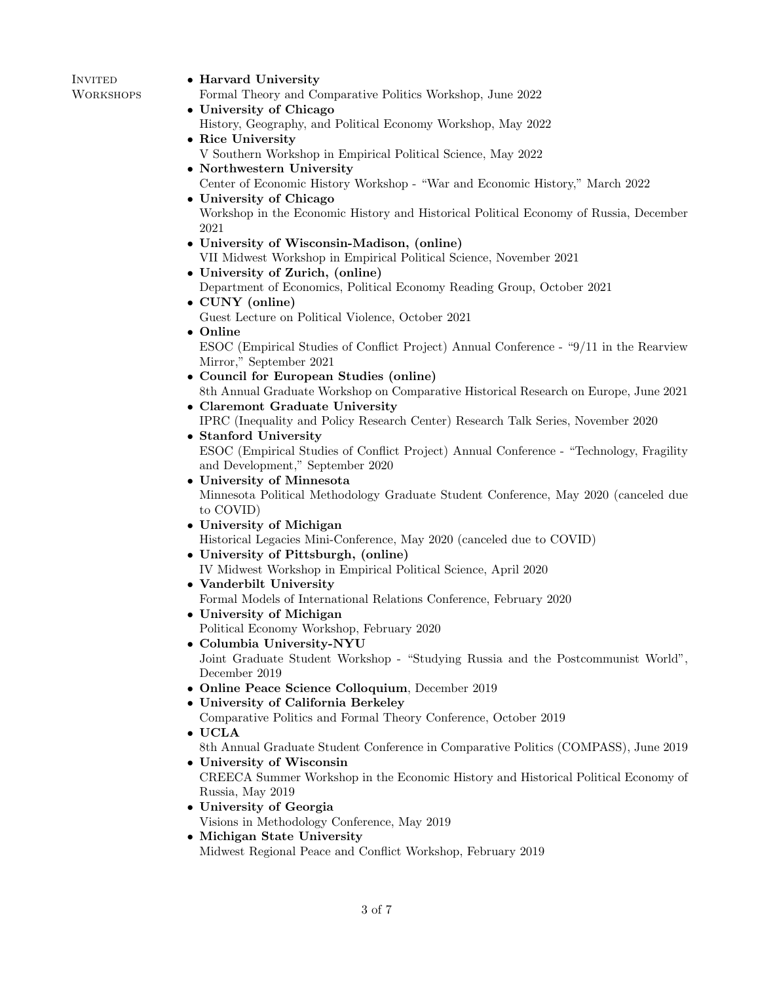| INVITED          | • Harvard University                                         |
|------------------|--------------------------------------------------------------|
| <b>WORKSHOPS</b> | Formal Theory and Comparative Politics Workshop, June 2022   |
|                  | • University of Chicago                                      |
|                  | History, Geography, and Political Economy Workshop, May 2022 |
|                  | • Rice University                                            |
|                  | V Southern Workshop in Empirical Political Science, May 2022 |
|                  | • Northwestern University                                    |
|                  |                                                              |

- Center of Economic History Workshop "War and Economic History," March 2022
- University of Chicago

Workshop in the Economic History and Historical Political Economy of Russia, December 2021

- University of Wisconsin-Madison, (online) VII Midwest Workshop in Empirical Political Science, November 2021
- University of Zurich, (online)
- Department of Economics, Political Economy Reading Group, October 2021
- CUNY (online) Guest Lecture on Political Violence, October 2021
- Online

ESOC (Empirical Studies of Conflict Project) Annual Conference - "9/11 in the Rearview Mirror," September 2021

- Council for European Studies (online) 8th Annual Graduate Workshop on Comparative Historical Research on Europe, June 2021
- Claremont Graduate University IPRC (Inequality and Policy Research Center) Research Talk Series, November 2020
- Stanford University ESOC (Empirical Studies of Conflict Project) Annual Conference - "Technology, Fragility and Development," September 2020
- University of Minnesota Minnesota Political Methodology Graduate Student Conference, May 2020 (canceled due to COVID)
- University of Michigan Historical Legacies Mini-Conference, May 2020 (canceled due to COVID)
- University of Pittsburgh, (online) IV Midwest Workshop in Empirical Political Science, April 2020
- Vanderbilt University Formal Models of International Relations Conference, February 2020
- University of Michigan Political Economy Workshop, February 2020
- Columbia University-NYU

Joint Graduate Student Workshop - "Studying Russia and the Postcommunist World", December 2019

- Online Peace Science Colloquium, December 2019
- University of California Berkeley
- Comparative Politics and Formal Theory Conference, October 2019
- UCLA 8th Annual Graduate Student Conference in Comparative Politics (COMPASS), June 2019
- University of Wisconsin CREECA Summer Workshop in the Economic History and Historical Political Economy of Russia, May 2019
- University of Georgia
	- Visions in Methodology Conference, May 2019
- Michigan State University Midwest Regional Peace and Conflict Workshop, February 2019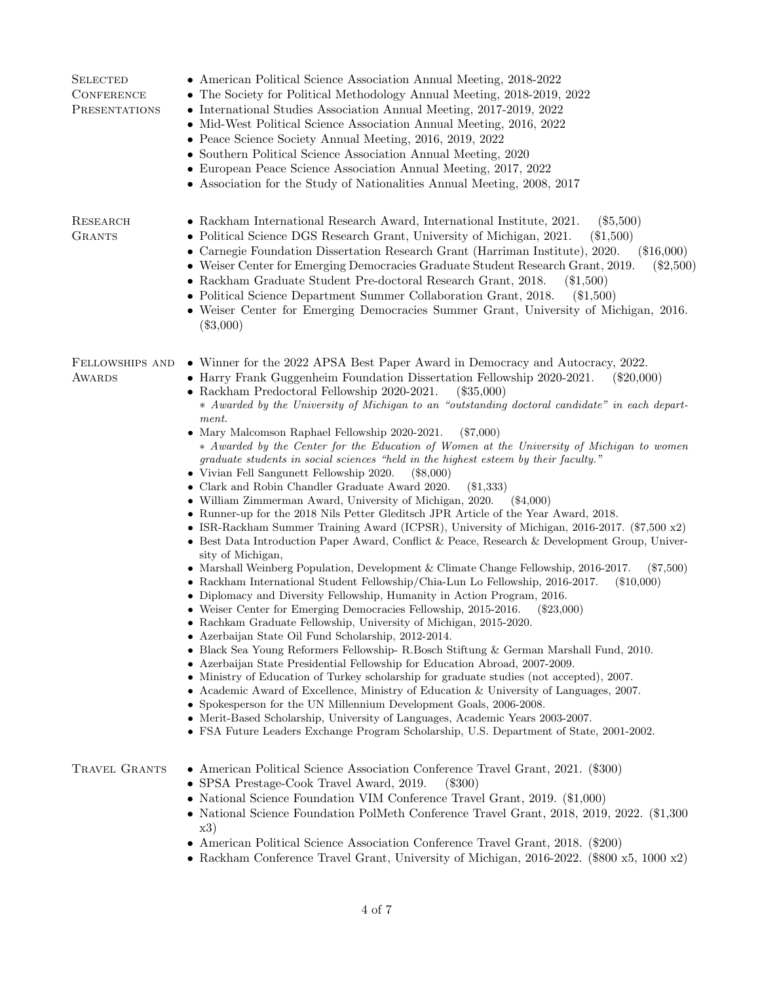| <b>SELECTED</b><br><b>CONFERENCE</b><br>PRESENTATIONS | • American Political Science Association Annual Meeting, 2018-2022<br>• The Society for Political Methodology Annual Meeting, 2018-2019, 2022<br>• International Studies Association Annual Meeting, 2017-2019, 2022<br>• Mid-West Political Science Association Annual Meeting, 2016, 2022<br>• Peace Science Society Annual Meeting, 2016, 2019, 2022<br>• Southern Political Science Association Annual Meeting, 2020<br>• European Peace Science Association Annual Meeting, 2017, 2022<br>• Association for the Study of Nationalities Annual Meeting, 2008, 2017                                                                                                                                                                                                                                                                                                                                                                                                                                                                                                                                                                                                                                                                                                                                                                                                                                                                                                                                                                                                                                                                                                                                                                                                                                                                                                                                                                                                                                                                                                                                                                                                                                                                     |
|-------------------------------------------------------|--------------------------------------------------------------------------------------------------------------------------------------------------------------------------------------------------------------------------------------------------------------------------------------------------------------------------------------------------------------------------------------------------------------------------------------------------------------------------------------------------------------------------------------------------------------------------------------------------------------------------------------------------------------------------------------------------------------------------------------------------------------------------------------------------------------------------------------------------------------------------------------------------------------------------------------------------------------------------------------------------------------------------------------------------------------------------------------------------------------------------------------------------------------------------------------------------------------------------------------------------------------------------------------------------------------------------------------------------------------------------------------------------------------------------------------------------------------------------------------------------------------------------------------------------------------------------------------------------------------------------------------------------------------------------------------------------------------------------------------------------------------------------------------------------------------------------------------------------------------------------------------------------------------------------------------------------------------------------------------------------------------------------------------------------------------------------------------------------------------------------------------------------------------------------------------------------------------------------------------------|
| RESEARCH<br><b>GRANTS</b>                             | • Rackham International Research Award, International Institute, 2021.<br>$(\$5,500)$<br>• Political Science DGS Research Grant, University of Michigan, 2021.<br>$(\$1,500)$<br>• Carnegie Foundation Dissertation Research Grant (Harriman Institute), 2020.<br>$(\$16,000)$<br>• Weiser Center for Emerging Democracies Graduate Student Research Grant, 2019.<br>$(\$2,500)$<br>• Rackham Graduate Student Pre-doctoral Research Grant, 2018.<br>$(\$1,500)$<br>• Political Science Department Summer Collaboration Grant, 2018.<br>$(\$1,500)$<br>• Weiser Center for Emerging Democracies Summer Grant, University of Michigan, 2016.<br>$(\$3,000)$                                                                                                                                                                                                                                                                                                                                                                                                                                                                                                                                                                                                                                                                                                                                                                                                                                                                                                                                                                                                                                                                                                                                                                                                                                                                                                                                                                                                                                                                                                                                                                                 |
| FELLOWSHIPS AND<br><b>AWARDS</b>                      | • Winner for the 2022 APSA Best Paper Award in Democracy and Autocracy, 2022.<br>• Harry Frank Guggenheim Foundation Dissertation Fellowship 2020-2021.<br>$(\$20,000)$<br>• Rackham Predoctoral Fellowship 2020-2021.<br>(335,000)<br>* Awarded by the University of Michigan to an "outstanding doctoral candidate" in each depart-<br>ment.<br>• Mary Malcomson Raphael Fellowship 2020-2021.<br>$(\$7,000)$<br>* Awarded by the Center for the Education of Women at the University of Michigan to women<br>graduate students in social sciences "held in the highest esteem by their faculty."<br>• Vivian Fell Sangunett Fellowship 2020.<br>$(\$8,000)$<br>• Clark and Robin Chandler Graduate Award 2020.<br>$(\$1,333)$<br>• William Zimmerman Award, University of Michigan, 2020.<br>( \$4,000)<br>• Runner-up for the 2018 Nils Petter Gleditsch JPR Article of the Year Award, 2018.<br>• ISR-Rackham Summer Training Award (ICPSR), University of Michigan, 2016-2017. (\$7,500 x2)<br>• Best Data Introduction Paper Award, Conflict & Peace, Research & Development Group, Univer-<br>sity of Michigan,<br>• Marshall Weinberg Population, Development & Climate Change Fellowship, 2016-2017.<br>$(\$7,500)$<br>• Rackham International Student Fellowship/Chia-Lun Lo Fellowship, 2016-2017.<br>$(\$10,000)$<br>• Diplomacy and Diversity Fellowship, Humanity in Action Program, 2016.<br>• Weiser Center for Emerging Democracies Fellowship, 2015-2016.<br>$(\$23,000)$<br>• Rachkam Graduate Fellowship, University of Michigan, 2015-2020.<br>• Azerbaijan State Oil Fund Scholarship, 2012-2014.<br>• Black Sea Young Reformers Fellowship- R. Bosch Stiftung & German Marshall Fund, 2010.<br>• Azerbaijan State Presidential Fellowship for Education Abroad, 2007-2009.<br>• Ministry of Education of Turkey scholarship for graduate studies (not accepted), 2007.<br>• Academic Award of Excellence, Ministry of Education & University of Languages, 2007.<br>• Spokesperson for the UN Millennium Development Goals, 2006-2008.<br>• Merit-Based Scholarship, University of Languages, Academic Years 2003-2007.<br>• FSA Future Leaders Exchange Program Scholarship, U.S. Department of State, 2001-2002. |
| TRAVEL GRANTS                                         | • American Political Science Association Conference Travel Grant, 2021. (\$300)<br>• SPSA Prestage-Cook Travel Award, 2019.<br>$(\$300)$<br>• National Science Foundation VIM Conference Travel Grant, 2019. (\$1,000)<br>• National Science Foundation PolMeth Conference Travel Grant, 2018, 2019, 2022. (\$1,300)<br>x3)<br>• American Political Science Association Conference Travel Grant, 2018. (\$200)<br>• Rackham Conference Travel Grant, University of Michigan, 2016-2022. $(\$800 \times 5, 1000 \times 2)$                                                                                                                                                                                                                                                                                                                                                                                                                                                                                                                                                                                                                                                                                                                                                                                                                                                                                                                                                                                                                                                                                                                                                                                                                                                                                                                                                                                                                                                                                                                                                                                                                                                                                                                  |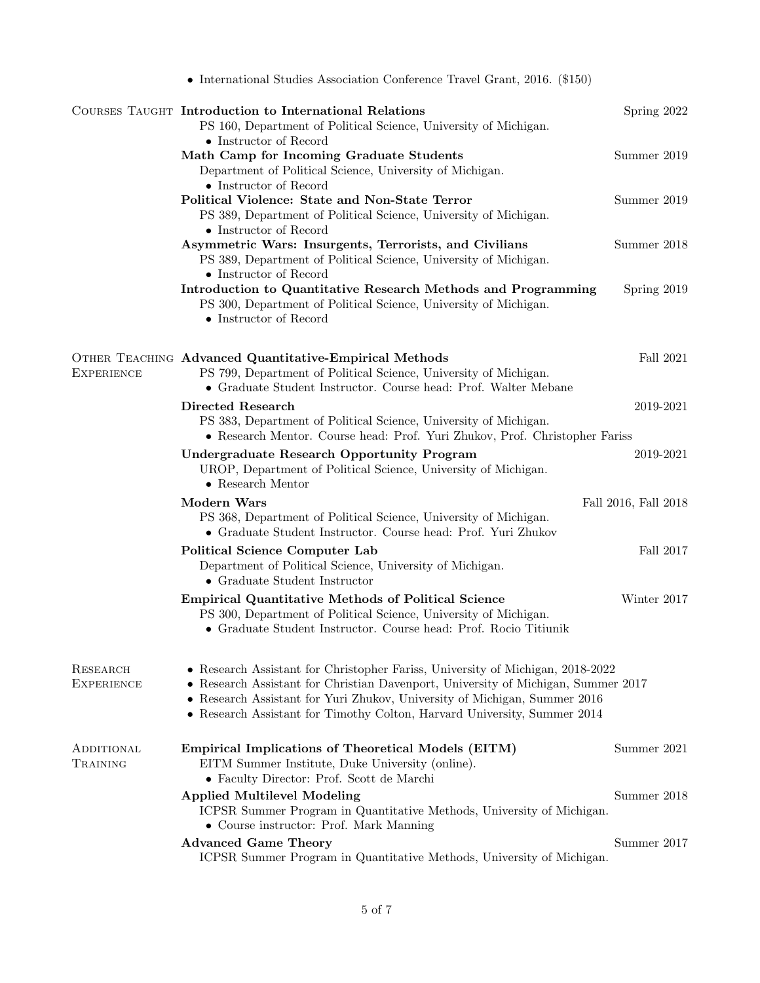|                               | • International Studies Association Conference Travel Grant, 2016. (\$150)                                                                                                                                                                                                                                                   |                      |
|-------------------------------|------------------------------------------------------------------------------------------------------------------------------------------------------------------------------------------------------------------------------------------------------------------------------------------------------------------------------|----------------------|
|                               | COURSES TAUGHT Introduction to International Relations<br>PS 160, Department of Political Science, University of Michigan.<br>$\bullet$ Instructor of Record                                                                                                                                                                 | Spring 2022          |
|                               | Math Camp for Incoming Graduate Students<br>Department of Political Science, University of Michigan.<br>$\bullet$ Instructor of Record                                                                                                                                                                                       | Summer 2019          |
|                               | Political Violence: State and Non-State Terror<br>PS 389, Department of Political Science, University of Michigan.<br>$\bullet$ Instructor of Record                                                                                                                                                                         | Summer 2019          |
|                               | Asymmetric Wars: Insurgents, Terrorists, and Civilians<br>PS 389, Department of Political Science, University of Michigan.<br>$\bullet$ Instructor of Record                                                                                                                                                                 | Summer 2018          |
|                               | Introduction to Quantitative Research Methods and Programming<br>PS 300, Department of Political Science, University of Michigan.<br>• Instructor of Record                                                                                                                                                                  | Spring 2019          |
| <b>EXPERIENCE</b>             | OTHER TEACHING Advanced Quantitative-Empirical Methods<br>PS 799, Department of Political Science, University of Michigan.<br>• Graduate Student Instructor. Course head: Prof. Walter Mebane                                                                                                                                | Fall 2021            |
|                               | <b>Directed Research</b><br>PS 383, Department of Political Science, University of Michigan.<br>• Research Mentor. Course head: Prof. Yuri Zhukov, Prof. Christopher Fariss                                                                                                                                                  | 2019-2021            |
|                               | <b>Undergraduate Research Opportunity Program</b><br>UROP, Department of Political Science, University of Michigan.<br>$\bullet$ Research Mentor                                                                                                                                                                             | 2019-2021            |
|                               | <b>Modern Wars</b><br>PS 368, Department of Political Science, University of Michigan.<br>• Graduate Student Instructor. Course head: Prof. Yuri Zhukov                                                                                                                                                                      | Fall 2016, Fall 2018 |
|                               | Political Science Computer Lab<br>Department of Political Science, University of Michigan.<br>$\bullet$ Graduate Student Instructor                                                                                                                                                                                          | Fall 2017            |
|                               | <b>Empirical Quantitative Methods of Political Science</b><br>PS 300, Department of Political Science, University of Michigan.<br>• Graduate Student Instructor. Course head: Prof. Rocio Titiunik                                                                                                                           | Winter 2017          |
| RESEARCH<br><b>EXPERIENCE</b> | • Research Assistant for Christopher Fariss, University of Michigan, 2018-2022<br>• Research Assistant for Christian Davenport, University of Michigan, Summer 2017<br>• Research Assistant for Yuri Zhukov, University of Michigan, Summer 2016<br>• Research Assistant for Timothy Colton, Harvard University, Summer 2014 |                      |
| ADDITIONAL<br>TRAINING        | <b>Empirical Implications of Theoretical Models (EITM)</b><br>EITM Summer Institute, Duke University (online).<br>• Faculty Director: Prof. Scott de Marchi                                                                                                                                                                  | Summer 2021          |
|                               | <b>Applied Multilevel Modeling</b><br>ICPSR Summer Program in Quantitative Methods, University of Michigan.<br>• Course instructor: Prof. Mark Manning                                                                                                                                                                       | Summer 2018          |
|                               | <b>Advanced Game Theory</b><br>ICPSR Summer Program in Quantitative Methods, University of Michigan.                                                                                                                                                                                                                         | Summer 2017          |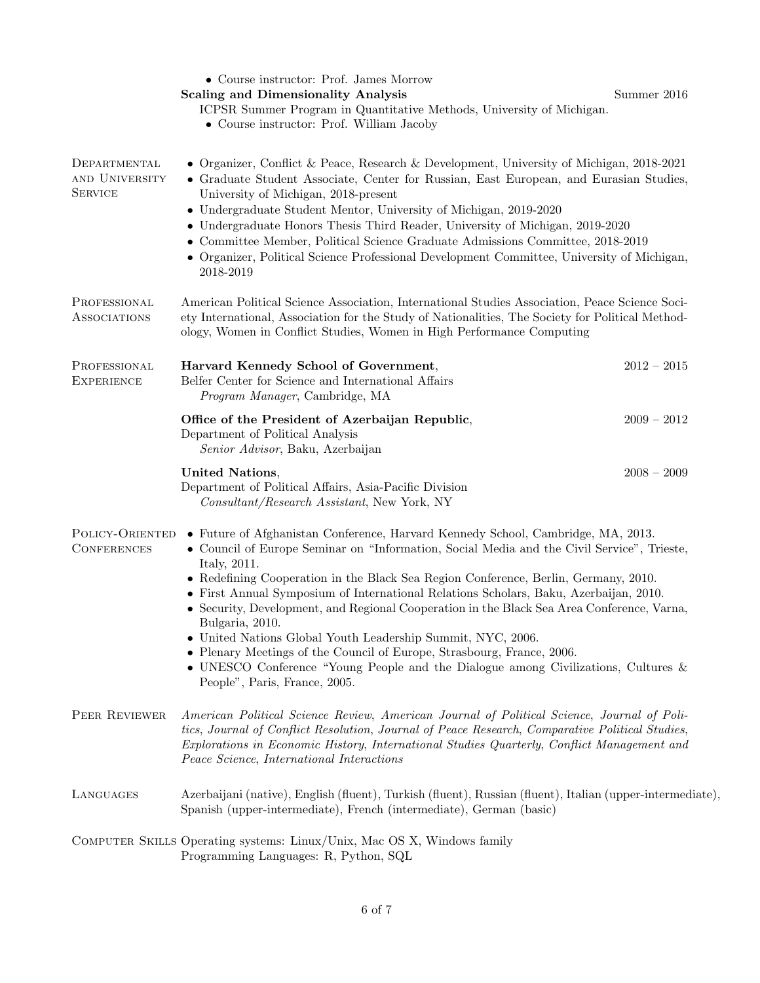|                                                  | • Course instructor: Prof. James Morrow<br><b>Scaling and Dimensionality Analysis</b><br>ICPSR Summer Program in Quantitative Methods, University of Michigan.<br>• Course instructor: Prof. William Jacoby                                                                                                                                                                                                                                                                                                                                                                                                                                                                                                                                                        | Summer 2016   |
|--------------------------------------------------|--------------------------------------------------------------------------------------------------------------------------------------------------------------------------------------------------------------------------------------------------------------------------------------------------------------------------------------------------------------------------------------------------------------------------------------------------------------------------------------------------------------------------------------------------------------------------------------------------------------------------------------------------------------------------------------------------------------------------------------------------------------------|---------------|
| DEPARTMENTAL<br>AND UNIVERSITY<br><b>SERVICE</b> | • Organizer, Conflict & Peace, Research & Development, University of Michigan, 2018-2021<br>• Graduate Student Associate, Center for Russian, East European, and Eurasian Studies,<br>University of Michigan, 2018-present<br>• Undergraduate Student Mentor, University of Michigan, 2019-2020<br>• Undergraduate Honors Thesis Third Reader, University of Michigan, 2019-2020<br>• Committee Member, Political Science Graduate Admissions Committee, 2018-2019<br>• Organizer, Political Science Professional Development Committee, University of Michigan,<br>2018-2019                                                                                                                                                                                      |               |
| PROFESSIONAL<br><b>ASSOCIATIONS</b>              | American Political Science Association, International Studies Association, Peace Science Soci-<br>ety International, Association for the Study of Nationalities, The Society for Political Method-<br>ology, Women in Conflict Studies, Women in High Performance Computing                                                                                                                                                                                                                                                                                                                                                                                                                                                                                        |               |
| PROFESSIONAL<br><b>EXPERIENCE</b>                | Harvard Kennedy School of Government,<br>Belfer Center for Science and International Affairs<br>Program Manager, Cambridge, MA                                                                                                                                                                                                                                                                                                                                                                                                                                                                                                                                                                                                                                     | $2012 - 2015$ |
|                                                  | Office of the President of Azerbaijan Republic,<br>Department of Political Analysis<br>Senior Advisor, Baku, Azerbaijan                                                                                                                                                                                                                                                                                                                                                                                                                                                                                                                                                                                                                                            | $2009 - 2012$ |
|                                                  | <b>United Nations,</b><br>Department of Political Affairs, Asia-Pacific Division<br>Consultant/Research Assistant, New York, NY                                                                                                                                                                                                                                                                                                                                                                                                                                                                                                                                                                                                                                    | $2008 - 2009$ |
| POLICY-ORIENTED<br><b>CONFERENCES</b>            | • Future of Afghanistan Conference, Harvard Kennedy School, Cambridge, MA, 2013.<br>• Council of Europe Seminar on "Information, Social Media and the Civil Service", Trieste,<br>Italy, 2011.<br>• Redefining Cooperation in the Black Sea Region Conference, Berlin, Germany, 2010.<br>• First Annual Symposium of International Relations Scholars, Baku, Azerbaijan, 2010.<br>• Security, Development, and Regional Cooperation in the Black Sea Area Conference, Varna,<br>Bulgaria, 2010.<br>• United Nations Global Youth Leadership Summit, NYC, 2006.<br>• Plenary Meetings of the Council of Europe, Strasbourg, France, 2006.<br>• UNESCO Conference "Young People and the Dialogue among Civilizations, Cultures $\&$<br>People", Paris, France, 2005. |               |
| PEER REVIEWER                                    | American Political Science Review, American Journal of Political Science, Journal of Poli-<br>tics, Journal of Conflict Resolution, Journal of Peace Research, Comparative Political Studies,<br>Explorations in Economic History, International Studies Quarterly, Conflict Management and<br>Peace Science, International Interactions                                                                                                                                                                                                                                                                                                                                                                                                                           |               |
| LANGUAGES                                        | Azerbaijani (native), English (fluent), Turkish (fluent), Russian (fluent), Italian (upper-intermediate),<br>Spanish (upper-intermediate), French (intermediate), German (basic)                                                                                                                                                                                                                                                                                                                                                                                                                                                                                                                                                                                   |               |
|                                                  | COMPUTER SKILLS Operating systems: Linux/Unix, Mac OS X, Windows family<br>Programming Languages: R, Python, SQL                                                                                                                                                                                                                                                                                                                                                                                                                                                                                                                                                                                                                                                   |               |